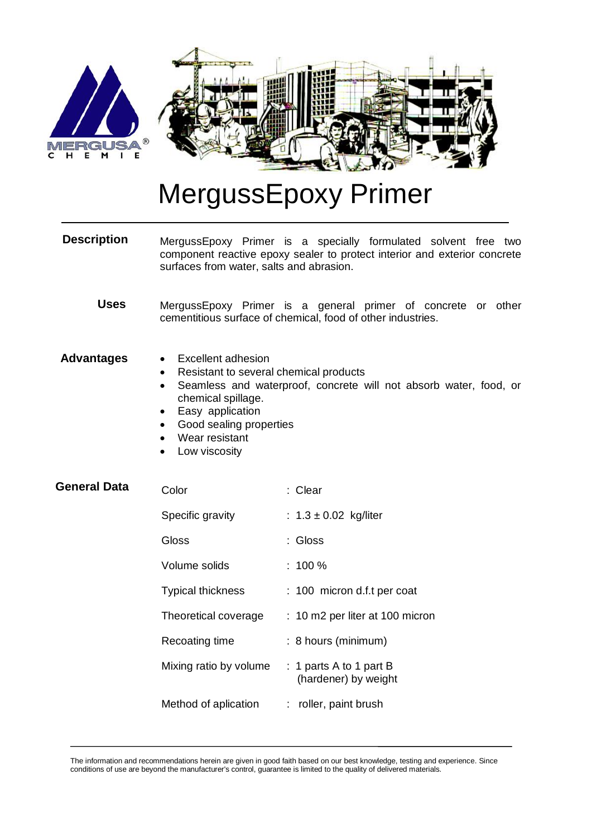

## MergussEpoxy Primer

MergussEpoxy Primer is a specially formulated solvent free two component reactive epoxy sealer to protect interior and exterior concrete surfaces from water, salts and abrasion. **Description**

MergussEpoxy Primer is a general primer of concrete or other cementitious surface of chemical, food of other industries. **Uses**

## Excellent adhesion **Advantages**

- Resistant to several chemical products
- Seamless and waterproof, concrete will not absorb water, food, or chemical spillage.
- Easy application
- Good sealing properties
- Wear resistant
- Low viscosity

| <b>General Data</b> | Color                    | : Clear                                         |
|---------------------|--------------------------|-------------------------------------------------|
|                     | Specific gravity         | : $1.3 \pm 0.02$ kg/liter                       |
|                     | Gloss                    | :Gloss                                          |
|                     | Volume solids            | :100 %                                          |
|                     | <b>Typical thickness</b> | : 100 micron d.f.t per coat                     |
|                     | Theoretical coverage     | : 10 m2 per liter at 100 micron                 |
|                     | Recoating time           | : 8 hours (minimum)                             |
|                     | Mixing ratio by volume   | : 1 parts A to 1 part B<br>(hardener) by weight |
|                     | Method of aplication     | : roller, paint brush                           |
|                     |                          |                                                 |

The information and recommendations herein are given in good faith based on our best knowledge, testing and experience. Since conditions of use are beyond the manufacturer's control, guarantee is limited to the quality of delivered materials.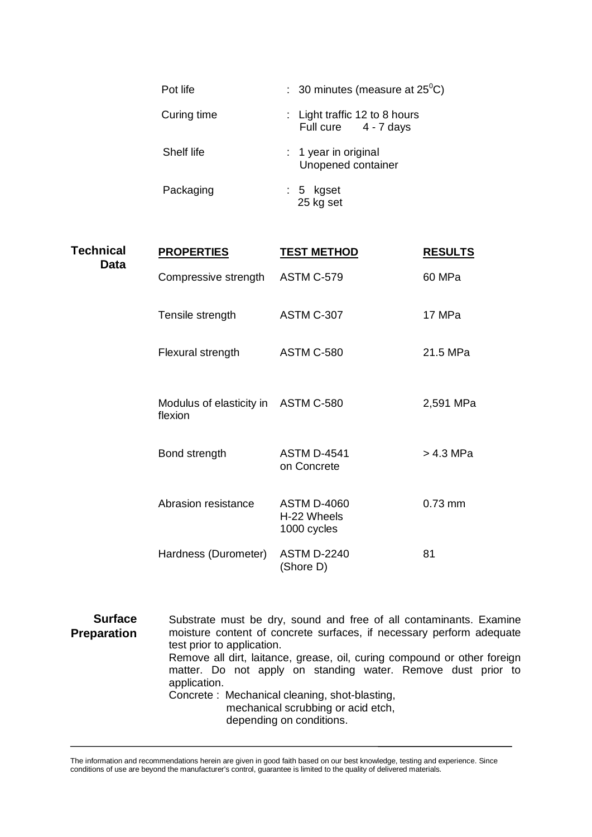| Pot life    | : 30 minutes (measure at $25^{\circ}$ C)              |
|-------------|-------------------------------------------------------|
| Curing time | : Light traffic 12 to 8 hours<br>Full cure 4 - 7 days |
| Shelf life  | $: 1$ year in original<br>Unopened container          |
| Packaging   | : 5 kgset<br>25 kg set                                |

| <b>Technical</b><br><b>Data</b> | <b>PROPERTIES</b>                              | <b>TEST METHOD</b>                                                 | <b>RESULTS</b> |
|---------------------------------|------------------------------------------------|--------------------------------------------------------------------|----------------|
|                                 | Compressive strength                           | <b>ASTM C-579</b>                                                  | 60 MPa         |
|                                 | Tensile strength                               | ASTM C-307                                                         | 17 MPa         |
|                                 | Flexural strength                              | <b>ASTM C-580</b>                                                  | 21.5 MPa       |
|                                 | Modulus of elasticity in ASTM C-580<br>flexion |                                                                    | 2,591 MPa      |
|                                 | Bond strength                                  | <b>ASTM D-4541</b><br>on Concrete                                  | $> 4.3$ MPa    |
|                                 | Abrasion resistance                            | <b>ASTM D-4060</b><br>H-22 Wheels<br>1000 cycles                   | 0.73 mm        |
|                                 | Hardness (Durometer)                           | <b>ASTM D-2240</b><br>(Shore D)                                    | 81             |
| <b>Surface</b>                  |                                                | Substrate must be dry, sound and free of all contaminants. Examine |                |

moisture content of concrete surfaces, if necessary perform adequate test prior to application. Remove all dirt, laitance, grease, oil, curing compound or other foreign matter. Do not apply on standing water. Remove dust prior to application. Concrete : Mechanical cleaning, shot-blasting, mechanical scrubbing or acid etch, depending on conditions. **Preparation**

The information and recommendations herein are given in good faith based on our best knowledge, testing and experience. Since conditions of use are beyond the manufacturer's control, guarantee is limited to the quality of delivered materials.